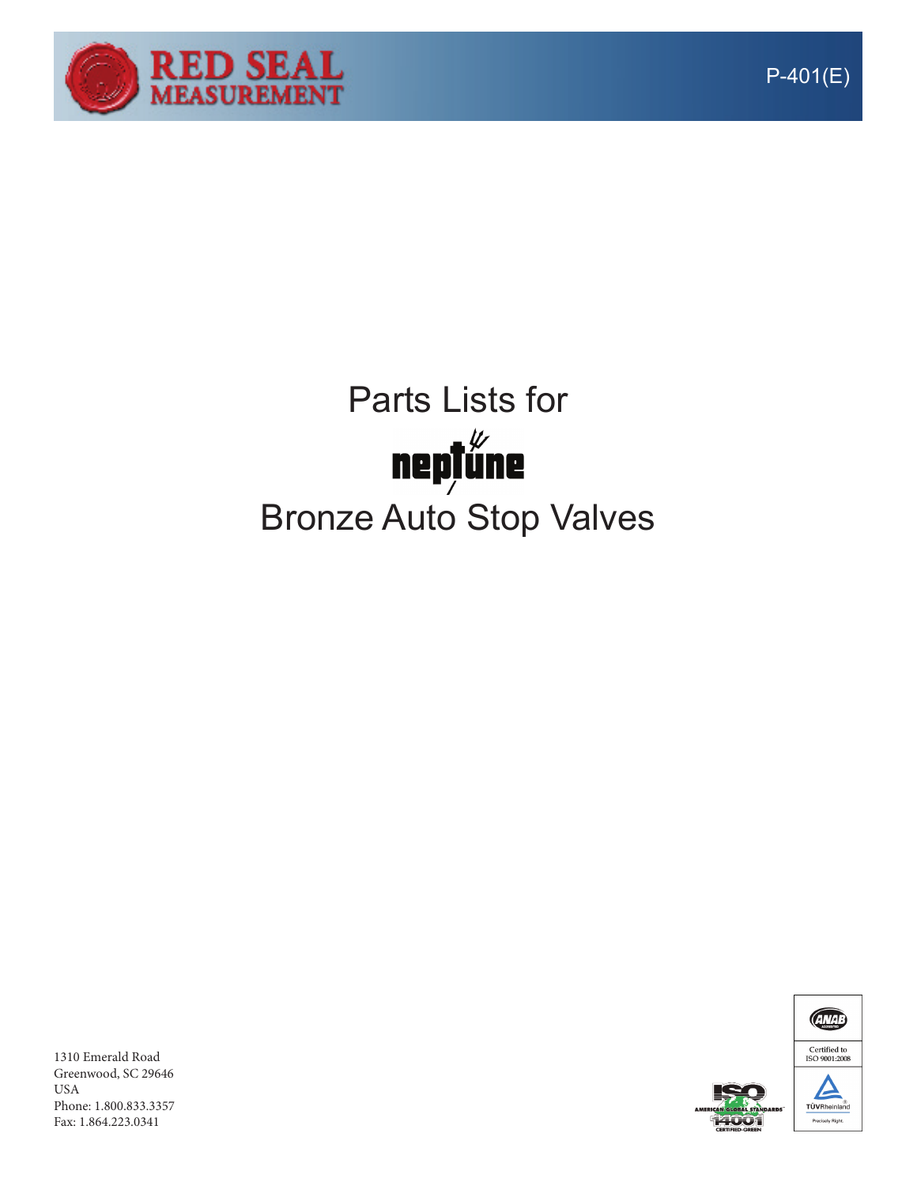

## Parts Lists for<br>meptune

## Bronze Auto Stop Valves

**ANAB** Certified to<br>ISO 9001:2008 E TÜVRheinland

1310 Emerald Road Greenwood, SC 29646 USA Phone: 1.800.833.3357 Fax: 1.864.223.0341

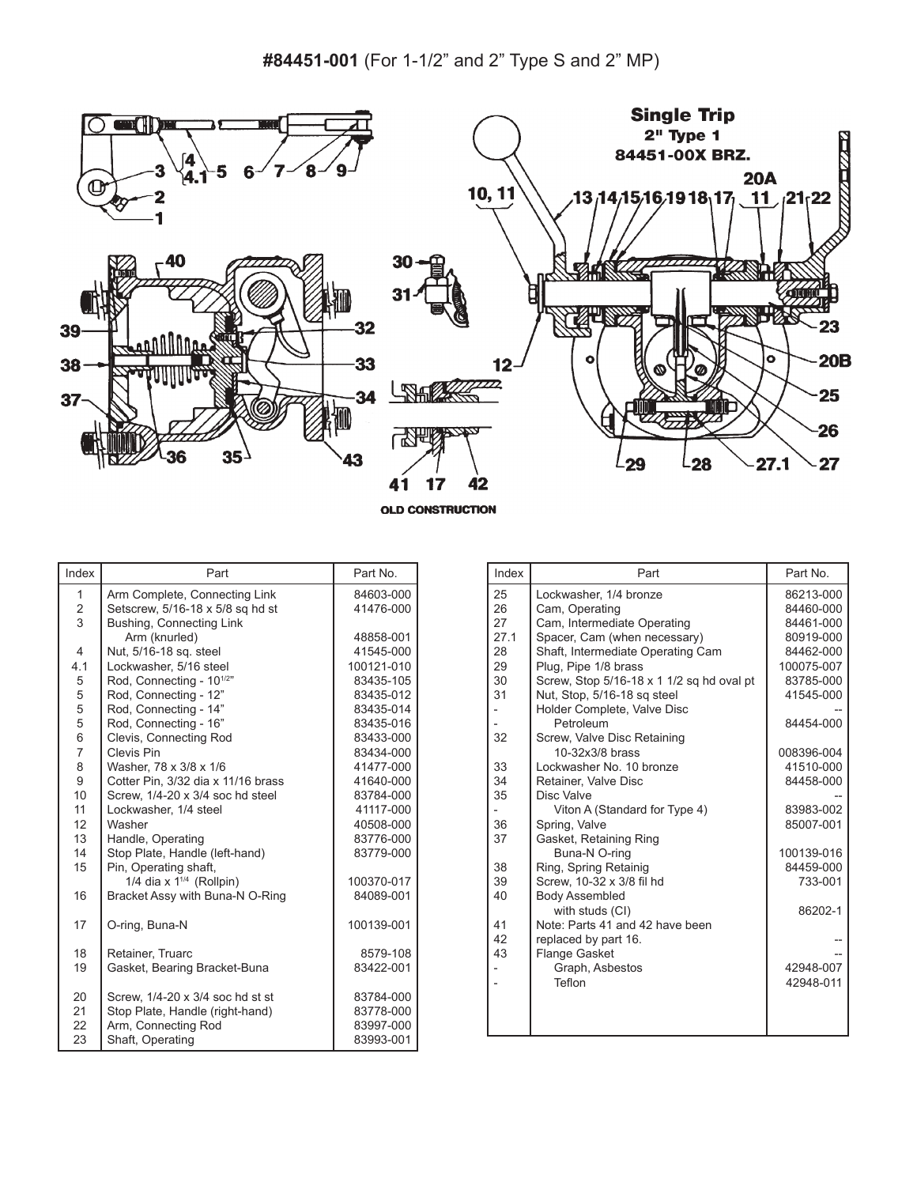

**OLD CONSTRUCTION** 

| Index          | Part                                 | Part No.   |
|----------------|--------------------------------------|------------|
| 1              | Arm Complete, Connecting Link        | 84603-000  |
| $\frac{2}{3}$  | Setscrew, 5/16-18 x 5/8 sq hd st     | 41476-000  |
|                | Bushing, Connecting Link             |            |
|                | Arm (knurled)                        | 48858-001  |
| $\overline{4}$ | Nut, 5/16-18 sq. steel               | 41545-000  |
| 4.1            | Lockwasher, 5/16 steel               | 100121-010 |
| 5              | Rod, Connecting - 10 <sup>1/2"</sup> | 83435-105  |
| 5              | Rod, Connecting - 12"                | 83435-012  |
| 5              | Rod, Connecting - 14"                | 83435-014  |
| 5              | Rod, Connecting - 16"                | 83435-016  |
| 6              | Clevis, Connecting Rod               | 83433-000  |
| $\overline{7}$ | Clevis Pin                           | 83434-000  |
| 8              | Washer, 78 x 3/8 x 1/6               | 41477-000  |
| 9              | Cotter Pin, 3/32 dia x 11/16 brass   | 41640-000  |
| 10             | Screw, 1/4-20 x 3/4 soc hd steel     | 83784-000  |
| 11             | Lockwasher, 1/4 steel                | 41117-000  |
| 12             | Washer                               | 40508-000  |
| 13             | Handle, Operating                    | 83776-000  |
| 14             | Stop Plate, Handle (left-hand)       | 83779-000  |
| 15             | Pin, Operating shaft,                |            |
|                | 1/4 dia x $1^{1/4}$ (Rollpin)        | 100370-017 |
| 16             | Bracket Assy with Buna-N O-Ring      | 84089-001  |
| 17             | O-ring, Buna-N                       | 100139-001 |
| 18             | Retainer, Truarc                     | 8579-108   |
| 19             | Gasket, Bearing Bracket-Buna         | 83422-001  |
| 20             | Screw, 1/4-20 x 3/4 soc hd st st     | 83784-000  |
| 21             | Stop Plate, Handle (right-hand)      | 83778-000  |
| 22             | Arm, Connecting Rod                  | 83997-000  |
| 23             | Shaft, Operating                     | 83993-001  |

| Index | Part                                      | Part No.   |
|-------|-------------------------------------------|------------|
| 25    | Lockwasher, 1/4 bronze                    | 86213-000  |
| 26    | Cam, Operating                            | 84460-000  |
| 27    | Cam, Intermediate Operating               | 84461-000  |
| 27.1  | Spacer, Cam (when necessary)              | 80919-000  |
| 28    | Shaft, Intermediate Operating Cam         | 84462-000  |
| 29    | Plug, Pipe 1/8 brass                      | 100075-007 |
| 30    | Screw, Stop 5/16-18 x 1 1/2 sq hd oval pt | 83785-000  |
| 31    | Nut, Stop, 5/16-18 sq steel               | 41545-000  |
|       | Holder Complete, Valve Disc               |            |
|       | Petroleum                                 | 84454-000  |
| 32    | Screw, Valve Disc Retaining               |            |
|       | 10-32x3/8 brass                           | 008396-004 |
| 33    | Lockwasher No. 10 bronze                  | 41510-000  |
| 34    | Retainer, Valve Disc                      | 84458-000  |
| 35    | Disc Valve                                |            |
|       | Viton A (Standard for Type 4)             | 83983-002  |
| 36    | Spring, Valve                             | 85007-001  |
| 37    | Gasket, Retaining Ring                    |            |
|       | Buna-N O-ring                             | 100139-016 |
| 38    | Ring, Spring Retainig                     | 84459-000  |
| 39    | Screw, 10-32 x 3/8 fil hd                 | 733-001    |
| 40    | <b>Body Assembled</b>                     |            |
|       | with studs (CI)                           | 86202-1    |
| 41    | Note: Parts 41 and 42 have been           |            |
| 42    | replaced by part 16.                      |            |
| 43    | <b>Flange Gasket</b>                      |            |
|       | Graph, Asbestos<br>Teflon                 | 42948-007  |
|       |                                           | 42948-011  |
|       |                                           |            |
|       |                                           |            |
|       |                                           |            |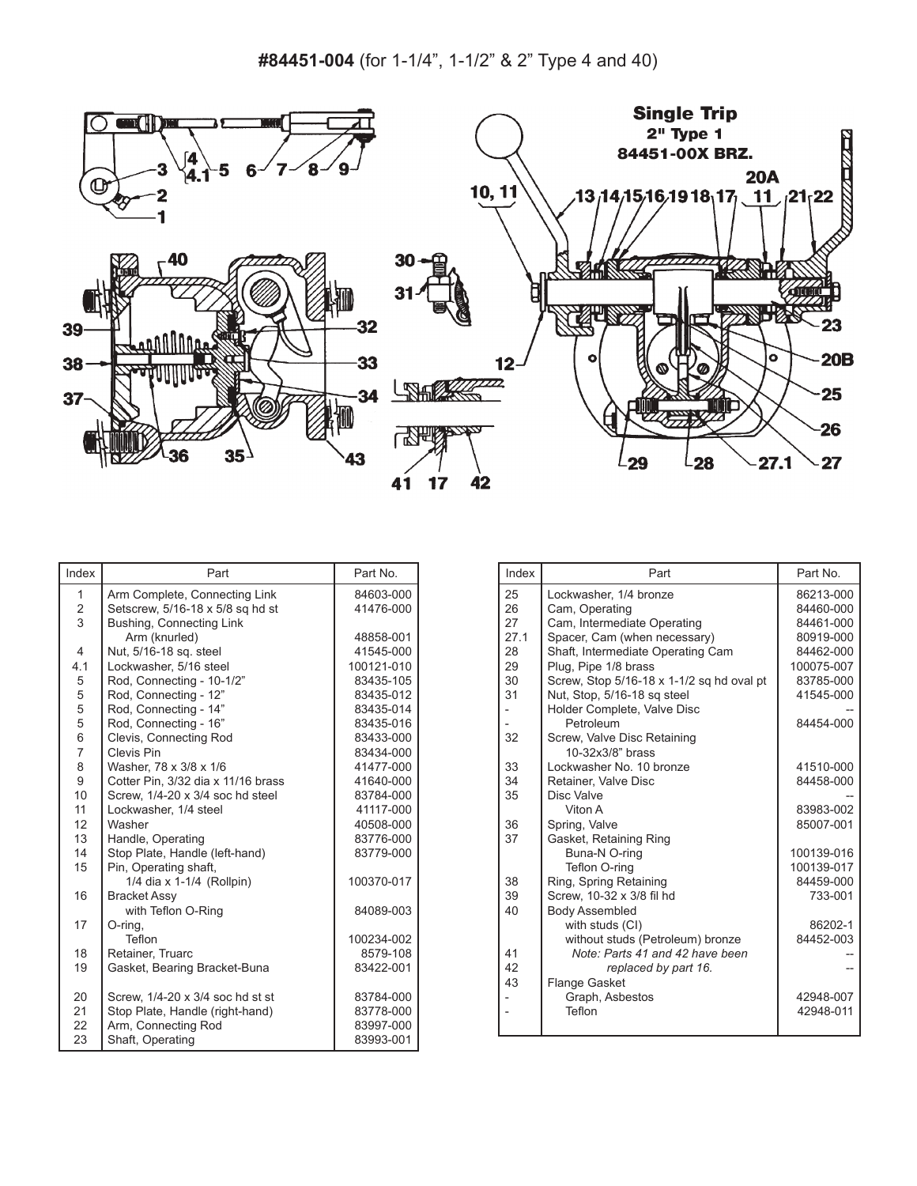

| Index                   | Part                               | Part No.   |
|-------------------------|------------------------------------|------------|
| 1                       | Arm Complete, Connecting Link      | 84603-000  |
| $\overline{\mathbf{c}}$ | Setscrew, 5/16-18 x 5/8 sq hd st   | 41476-000  |
| $\overline{3}$          | Bushing, Connecting Link           |            |
|                         | Arm (knurled)                      | 48858-001  |
| $\overline{4}$          | Nut, 5/16-18 sq. steel             | 41545-000  |
| 4.1                     | Lockwasher, 5/16 steel             | 100121-010 |
| 5                       | Rod, Connecting - 10-1/2"          | 83435-105  |
| 5                       | Rod, Connecting - 12"              | 83435-012  |
| 5                       | Rod, Connecting - 14"              | 83435-014  |
| 5                       | Rod, Connecting - 16"              | 83435-016  |
| 6                       | Clevis, Connecting Rod             | 83433-000  |
| $\overline{7}$          | Clevis Pin                         | 83434-000  |
| 8                       | Washer, 78 x 3/8 x 1/6             | 41477-000  |
| 9                       | Cotter Pin, 3/32 dia x 11/16 brass | 41640-000  |
| 10                      | Screw, 1/4-20 x 3/4 soc hd steel   | 83784-000  |
| 11                      | Lockwasher, 1/4 steel              | 41117-000  |
| 12                      | Washer                             | 40508-000  |
| 13                      | Handle, Operating                  | 83776-000  |
| 14                      | Stop Plate, Handle (left-hand)     | 83779-000  |
| 15                      | Pin, Operating shaft,              |            |
|                         | 1/4 dia x 1-1/4 (Rollpin)          | 100370-017 |
| 16                      | <b>Bracket Assy</b>                |            |
|                         | with Teflon O-Ring                 | 84089-003  |
| 17                      | O-ring,                            |            |
|                         | Teflon                             | 100234-002 |
| 18                      | Retainer, Truarc                   | 8579-108   |
| 19                      | Gasket, Bearing Bracket-Buna       | 83422-001  |
| 20                      | Screw, 1/4-20 x 3/4 soc hd st st   | 83784-000  |
| 21                      | Stop Plate, Handle (right-hand)    | 83778-000  |
| 22                      | Arm, Connecting Rod                | 83997-000  |
| 23                      | Shaft, Operating                   | 83993-001  |

| Index | Part                                                                | Part No.             |
|-------|---------------------------------------------------------------------|----------------------|
| 25    | Lockwasher, 1/4 bronze                                              | 86213-000            |
| 26    | Cam, Operating                                                      | 84460-000            |
| 27    | Cam, Intermediate Operating                                         | 84461-000            |
| 27.1  | Spacer, Cam (when necessary)                                        | 80919-000            |
| 28    | Shaft, Intermediate Operating Cam                                   | 84462-000            |
| 29    | Plug, Pipe 1/8 brass                                                | 100075-007           |
| 30    | Screw, Stop 5/16-18 x 1-1/2 sq hd oval pt                           | 83785-000            |
| 31    | Nut, Stop, 5/16-18 sq steel                                         | 41545-000            |
|       | Holder Complete, Valve Disc                                         |                      |
|       | Petroleum                                                           | 84454-000            |
| 32    | Screw, Valve Disc Retaining                                         |                      |
|       | 10-32x3/8" brass                                                    |                      |
| 33    | Lockwasher No. 10 bronze                                            | 41510-000            |
| 34    | Retainer, Valve Disc                                                | 84458-000            |
| 35    | Disc Valve                                                          |                      |
|       | Viton A                                                             | 83983-002            |
| 36    | Spring, Valve                                                       | 85007-001            |
| 37    | Gasket, Retaining Ring                                              |                      |
|       | Buna-N O-ring                                                       | 100139-016           |
|       | Teflon O-ring                                                       | 100139-017           |
| 38    | Ring, Spring Retaining                                              | 84459-000            |
| 39    | Screw, 10-32 x 3/8 fil hd                                           | 733-001              |
| 40    | <b>Body Assembled</b>                                               |                      |
|       | with studs (CI)                                                     | 86202-1<br>84452-003 |
| 41    | without studs (Petroleum) bronze<br>Note: Parts 41 and 42 have been |                      |
| 42    |                                                                     |                      |
| 43    | replaced by part 16.<br>Flange Gasket                               |                      |
|       | Graph, Asbestos                                                     | 42948-007            |
|       | Teflon                                                              | 42948-011            |
|       |                                                                     |                      |
|       |                                                                     |                      |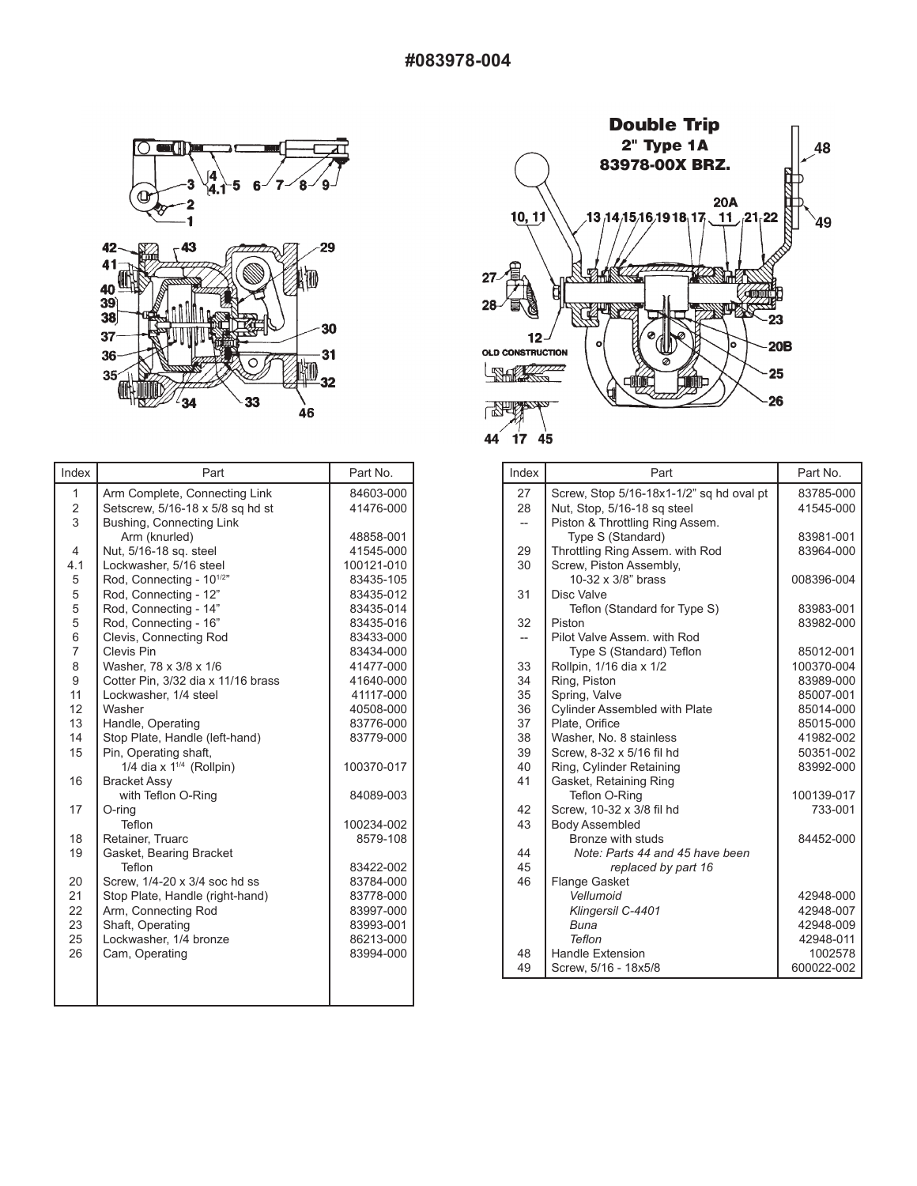

| Index                   | Part                                 | Part No.   |
|-------------------------|--------------------------------------|------------|
| 1                       | Arm Complete, Connecting Link        | 84603-000  |
| $\overline{\mathbf{c}}$ | Setscrew, 5/16-18 x 5/8 sq hd st     | 41476-000  |
| 3                       | Bushing, Connecting Link             |            |
|                         | Arm (knurled)                        | 48858-001  |
| 4                       | Nut, 5/16-18 sq. steel               | 41545-000  |
| 4.1                     | Lockwasher, 5/16 steel               | 100121-010 |
| 5                       | Rod, Connecting - 10 <sup>1/2"</sup> | 83435-105  |
| 5                       | Rod, Connecting - 12"                | 83435-012  |
| 5                       | Rod, Connecting - 14"                | 83435-014  |
| 5                       | Rod, Connecting - 16"                | 83435-016  |
| 6                       | Clevis, Connecting Rod               | 83433-000  |
| 7                       | Clevis Pin                           | 83434-000  |
| 8                       | Washer, 78 x 3/8 x 1/6               | 41477-000  |
| 9                       | Cotter Pin, 3/32 dia x 11/16 brass   | 41640-000  |
| 11                      | Lockwasher, 1/4 steel                | 41117-000  |
| 12                      | Washer                               | 40508-000  |
| 13                      | Handle, Operating                    | 83776-000  |
| 14                      | Stop Plate, Handle (left-hand)       | 83779-000  |
| 15                      | Pin, Operating shaft,                |            |
|                         | 1/4 dia x $1^{1/4}$ (Rollpin)        | 100370-017 |
| 16                      | <b>Bracket Assy</b>                  |            |
|                         | with Teflon O-Ring                   | 84089-003  |
| 17                      | O-ring                               |            |
|                         | Teflon                               | 100234-002 |
| 18                      | Retainer, Truarc                     | 8579-108   |
| 19                      | Gasket, Bearing Bracket              |            |
|                         | Teflon                               | 83422-002  |
| 20                      | Screw, 1/4-20 x 3/4 soc hd ss        | 83784-000  |
| 21                      | Stop Plate, Handle (right-hand)      | 83778-000  |
| 22                      | Arm, Connecting Rod                  | 83997-000  |
| 23                      | Shaft, Operating                     | 83993-001  |
| 25                      | Lockwasher, 1/4 bronze               | 86213-000  |
| 26                      | Cam, Operating                       | 83994-000  |
|                         |                                      |            |
|                         |                                      |            |
|                         |                                      |            |



| Index                    | Part                                        | Part No.   |
|--------------------------|---------------------------------------------|------------|
| 27                       | Screw, Stop 5/16-18x1-1/2" sq hd oval pt    | 83785-000  |
| 28                       | Nut, Stop, 5/16-18 sq steel                 | 41545-000  |
| $\overline{\phantom{0}}$ | Piston & Throttling Ring Assem.             |            |
|                          | Type S (Standard)                           | 83981-001  |
| 29                       | Throttling Ring Assem. with Rod             | 83964-000  |
| 30                       | Screw, Piston Assembly,                     |            |
|                          | 10-32 x 3/8" brass                          | 008396-004 |
| 31                       | Disc Valve                                  |            |
|                          | Teflon (Standard for Type S)                | 83983-001  |
| 32                       | Piston                                      | 83982-000  |
| $\overline{\phantom{0}}$ | Pilot Valve Assem, with Rod                 |            |
|                          | Type S (Standard) Teflon                    | 85012-001  |
| 33                       | Rollpin, 1/16 dia x 1/2                     | 100370-004 |
| 34                       | Ring, Piston                                | 83989-000  |
| 35                       | Spring, Valve                               | 85007-001  |
| 36                       | <b>Cylinder Assembled with Plate</b>        | 85014-000  |
| 37                       | Plate, Orifice                              | 85015-000  |
| 38                       | Washer, No. 8 stainless                     | 41982-002  |
| 39                       | Screw. 8-32 x 5/16 fil hd                   | 50351-002  |
| 40                       | Ring, Cylinder Retaining                    | 83992-000  |
| 41                       | Gasket, Retaining Ring                      |            |
|                          | Teflon O-Ring                               | 100139-017 |
| 42                       | Screw, 10-32 x 3/8 fil hd                   | 733-001    |
| 43                       | <b>Body Assembled</b><br>Bronze with studs  | 84452-000  |
| 44                       | Note: Parts 44 and 45 have been             |            |
| 45                       |                                             |            |
| 46                       | replaced by part 16<br><b>Flange Gasket</b> |            |
|                          | Vellumoid                                   | 42948-000  |
|                          | Klingersil C-4401                           | 42948-007  |
|                          | Buna                                        | 42948-009  |
|                          | Teflon                                      | 42948-011  |
| 48                       | <b>Handle Extension</b>                     | 1002578    |
| 49                       | Screw, 5/16 - 18x5/8                        | 600022-002 |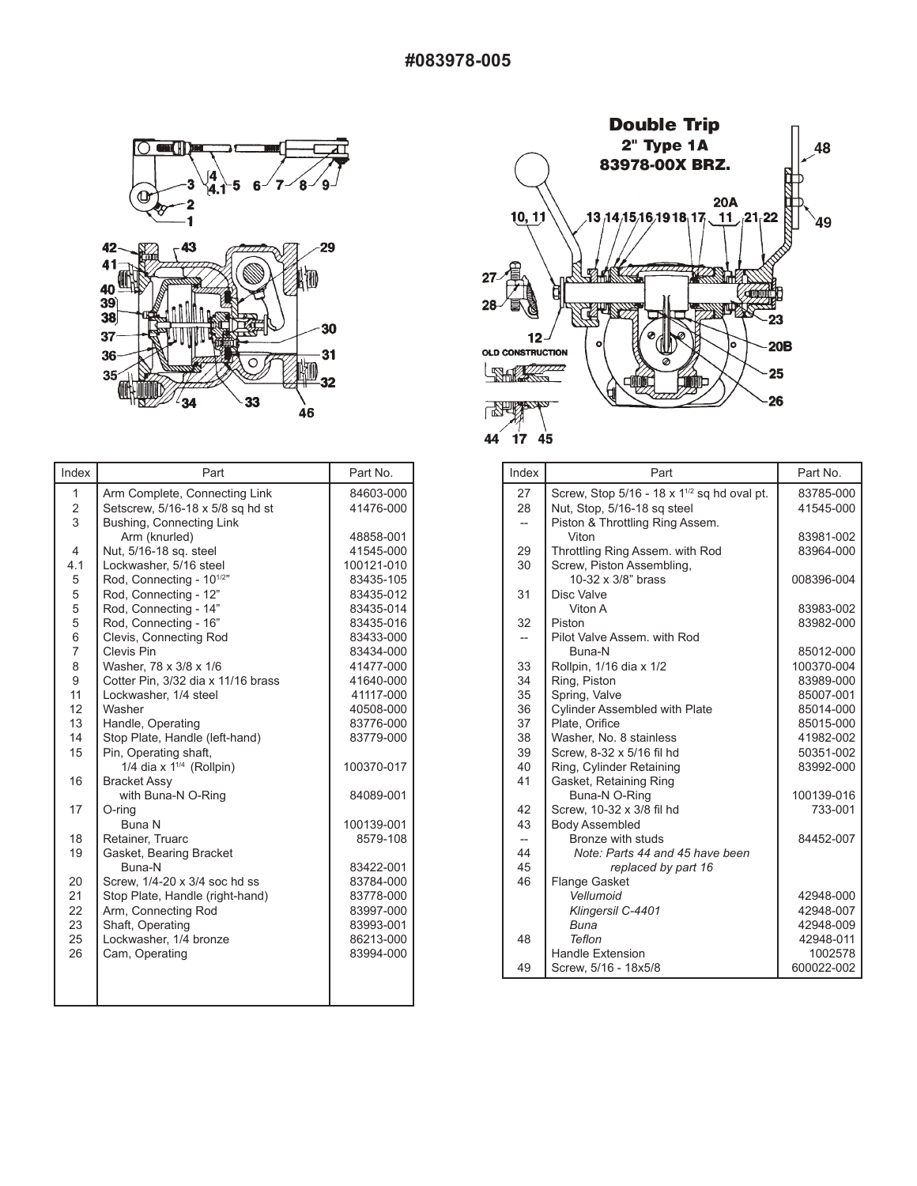

| Index                   | Part                                 | Part No.   |
|-------------------------|--------------------------------------|------------|
| 1                       | Arm Complete, Connecting Link        | 84603-000  |
| $\overline{\mathbf{c}}$ | Setscrew, 5/16-18 x 5/8 sq hd st     | 41476-000  |
| 3                       | Bushing, Connecting Link             |            |
|                         | Arm (knurled)                        | 48858-001  |
| 4                       | Nut, 5/16-18 sq. steel               | 41545-000  |
| 4.1                     | Lockwasher, 5/16 steel               | 100121-010 |
| 5                       | Rod, Connecting - 10 <sup>1/2"</sup> | 83435-105  |
| 5                       | Rod, Connecting - 12"                | 83435-012  |
| 5                       | Rod, Connecting - 14"                | 83435-014  |
| 5                       | Rod, Connecting - 16"                | 83435-016  |
| 6                       | Clevis, Connecting Rod               | 83433-000  |
| 7                       | Clevis Pin                           | 83434-000  |
| 8                       | Washer, 78 x 3/8 x 1/6               | 41477-000  |
| 9                       | Cotter Pin, 3/32 dia x 11/16 brass   | 41640-000  |
| 11                      | Lockwasher, 1/4 steel                | 41117-000  |
| 12                      | Washer                               | 40508-000  |
| 13                      | Handle, Operating                    | 83776-000  |
| 14                      | Stop Plate, Handle (left-hand)       | 83779-000  |
| 15                      | Pin, Operating shaft,                |            |
|                         | 1/4 dia x $1^{1/4}$ (Rollpin)        | 100370-017 |
| 16                      | <b>Bracket Assy</b>                  |            |
|                         | with Buna-N O-Ring                   | 84089-001  |
| 17                      | O-rina                               |            |
|                         | <b>Buna N</b>                        | 100139-001 |
| 18                      | Retainer, Truarc                     | 8579-108   |
| 19                      | Gasket, Bearing Bracket              |            |
|                         | Buna-N                               | 83422-001  |
| 20                      | Screw. 1/4-20 x 3/4 soc hd ss        | 83784-000  |
| 21                      | Stop Plate, Handle (right-hand)      | 83778-000  |
| 22                      | Arm, Connecting Rod                  | 83997-000  |
| 23                      | Shaft, Operating                     | 83993-001  |
| 25                      | Lockwasher, 1/4 bronze               | 86213-000  |
| 26                      | Cam, Operating                       | 83994-000  |
|                         |                                      |            |
|                         |                                      |            |
|                         |                                      |            |



| Index                          | Part                                                  | Part No.               |
|--------------------------------|-------------------------------------------------------|------------------------|
| 27                             | Screw, Stop $5/16 - 18 \times 1^{1/2}$ sq hd oval pt. | 83785-000              |
| 28                             | Nut, Stop, 5/16-18 sq steel                           | 41545-000              |
| $\overline{\phantom{0}}$       | Piston & Throttling Ring Assem.                       |                        |
|                                | Viton                                                 | 83981-002              |
| 29                             | Throttling Ring Assem. with Rod                       | 83964-000              |
| 30                             | Screw, Piston Assembling,                             |                        |
|                                | 10-32 x 3/8" brass                                    | 008396-004             |
| 31                             | Disc Valve                                            |                        |
|                                | Viton A                                               | 83983-002              |
| 32                             | Piston                                                | 83982-000              |
| $\overline{\phantom{0}}$       | Pilot Valve Assem, with Rod                           |                        |
|                                | Buna-N                                                | 85012-000              |
| 33                             | Rollpin, 1/16 dia x 1/2                               | 100370-004             |
| 34                             | Ring, Piston                                          | 83989-000              |
| 35                             | Spring, Valve                                         | 85007-001              |
| 36                             | <b>Cylinder Assembled with Plate</b>                  | 85014-000              |
| 37                             | Plate, Orifice                                        | 85015-000              |
| 38                             | Washer, No. 8 stainless                               | 41982-002              |
| 39                             | Screw, 8-32 x 5/16 fil hd                             | 50351-002              |
| 40                             | Ring, Cylinder Retaining                              | 83992-000              |
| 41                             | Gasket, Retaining Ring                                |                        |
|                                | Buna-N O-Ring                                         | 100139-016             |
| 42                             | Screw, 10-32 x 3/8 fil hd                             | 733-001                |
| 43                             | <b>Body Assembled</b>                                 |                        |
| $\overline{\phantom{a}}$<br>44 | Bronze with studs                                     | 84452-007              |
| 45                             | Note: Parts 44 and 45 have been                       |                        |
| 46                             | replaced by part 16                                   |                        |
|                                | <b>Flange Gasket</b><br>Vellumoid                     |                        |
|                                | Klingersil C-4401                                     | 42948-000<br>42948-007 |
|                                | Buna                                                  | 42948-009              |
| 48                             | Teflon                                                | 42948-011              |
|                                | <b>Handle Extension</b>                               | 1002578                |
| 49                             | Screw, 5/16 - 18x5/8                                  | 600022-002             |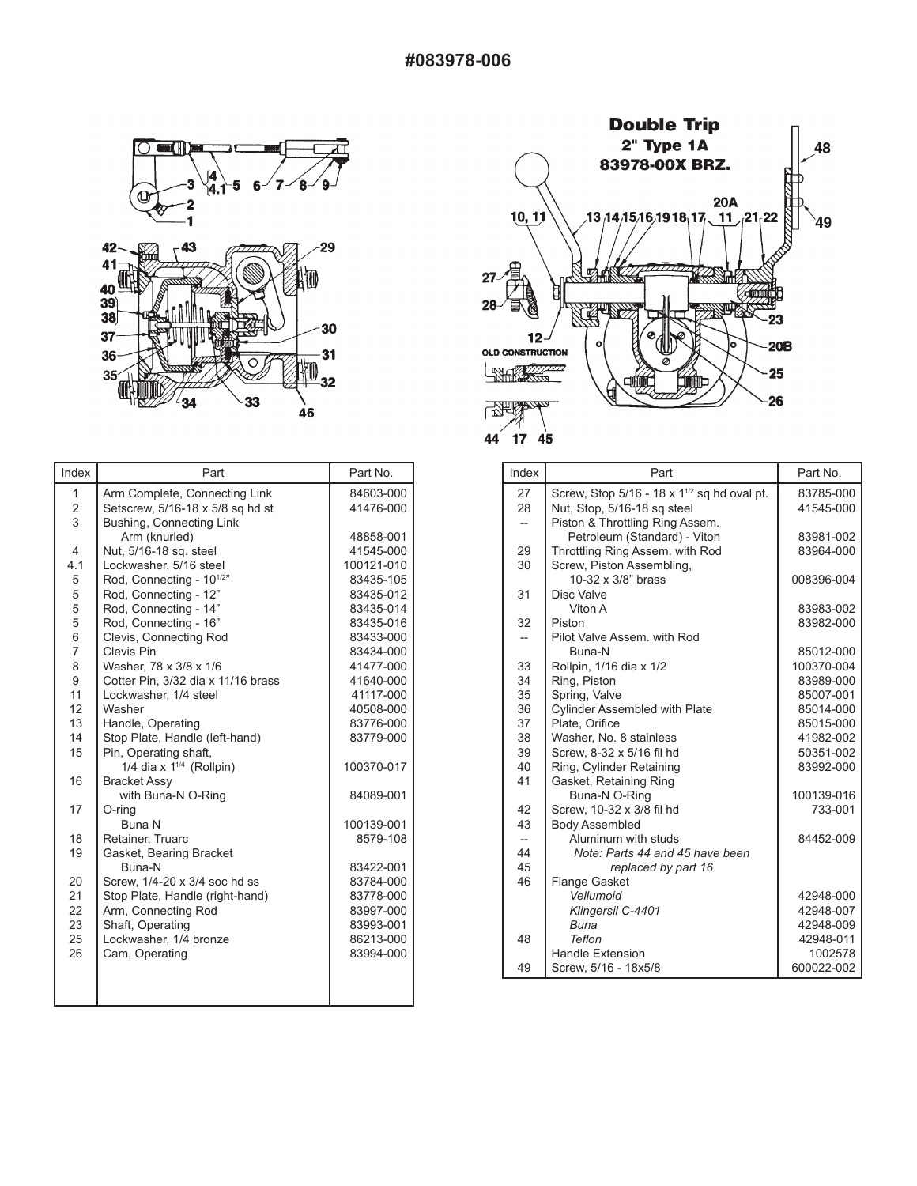

| Index                   | Part                                 | Part No.   |
|-------------------------|--------------------------------------|------------|
| 1                       | Arm Complete, Connecting Link        | 84603-000  |
| $\overline{\mathbf{c}}$ | Setscrew, 5/16-18 x 5/8 sq hd st     | 41476-000  |
| 3                       | Bushing, Connecting Link             |            |
|                         | Arm (knurled)                        | 48858-001  |
| 4                       | Nut, 5/16-18 sq. steel               | 41545-000  |
| 4.1                     | Lockwasher, 5/16 steel               | 100121-010 |
| 5                       | Rod, Connecting - 10 <sup>1/2"</sup> | 83435-105  |
| 5                       | Rod, Connecting - 12"                | 83435-012  |
| 5                       | Rod, Connecting - 14"                | 83435-014  |
| 5                       | Rod, Connecting - 16"                | 83435-016  |
| 6                       | Clevis, Connecting Rod               | 83433-000  |
| 7                       | Clevis Pin                           | 83434-000  |
| 8                       | Washer, 78 x 3/8 x 1/6               | 41477-000  |
| 9                       | Cotter Pin, 3/32 dia x 11/16 brass   | 41640-000  |
| 11                      | Lockwasher, 1/4 steel                | 41117-000  |
| 12                      | Washer                               | 40508-000  |
| 13                      | Handle, Operating                    | 83776-000  |
| 14                      | Stop Plate, Handle (left-hand)       | 83779-000  |
| 15                      | Pin, Operating shaft,                |            |
|                         | 1/4 dia x $1^{1/4}$ (Rollpin)        | 100370-017 |
| 16                      | <b>Bracket Assy</b>                  |            |
|                         | with Buna-N O-Ring                   | 84089-001  |
| 17                      | O-rina                               |            |
|                         | <b>Buna N</b>                        | 100139-001 |
| 18                      | Retainer, Truarc                     | 8579-108   |
| 19                      | Gasket, Bearing Bracket              |            |
|                         | Buna-N                               | 83422-001  |
| 20                      | Screw. 1/4-20 x 3/4 soc hd ss        | 83784-000  |
| 21                      | Stop Plate, Handle (right-hand)      | 83778-000  |
| 22                      | Arm, Connecting Rod                  | 83997-000  |
| 23                      | Shaft, Operating                     | 83993-001  |
| 25                      | Lockwasher, 1/4 bronze               | 86213-000  |
| 26                      | Cam, Operating                       | 83994-000  |
|                         |                                      |            |
|                         |                                      |            |
|                         |                                      |            |



| Index                          | Part                                                  | Part No.   |
|--------------------------------|-------------------------------------------------------|------------|
| 27                             | Screw, Stop $5/16 - 18 \times 1^{1/2}$ sq hd oval pt. | 83785-000  |
| 28                             | Nut, Stop, 5/16-18 sq steel                           | 41545-000  |
| $\overline{\phantom{a}}$       | Piston & Throttling Ring Assem.                       |            |
|                                | Petroleum (Standard) - Viton                          | 83981-002  |
| 29                             | Throttling Ring Assem. with Rod                       | 83964-000  |
| 30                             | Screw, Piston Assembling,                             |            |
|                                | 10-32 x 3/8" brass                                    | 008396-004 |
| 31                             | Disc Valve                                            |            |
|                                | Viton A                                               | 83983-002  |
| 32                             | Piston                                                | 83982-000  |
| $--$                           | Pilot Valve Assem, with Rod                           |            |
|                                | Buna-N                                                | 85012-000  |
| 33                             | Rollpin, 1/16 dia x 1/2                               | 100370-004 |
| 34                             | Ring, Piston                                          | 83989-000  |
| 35                             | Spring, Valve                                         | 85007-001  |
| 36                             | <b>Cylinder Assembled with Plate</b>                  | 85014-000  |
| 37                             | Plate, Orifice                                        | 85015-000  |
| 38                             | Washer, No. 8 stainless                               | 41982-002  |
| 39                             | Screw. 8-32 x 5/16 fil hd                             | 50351-002  |
| 40                             | Ring, Cylinder Retaining                              | 83992-000  |
| 41                             | Gasket, Retaining Ring                                |            |
|                                | Buna-N O-Ring                                         | 100139-016 |
| 42                             | Screw, 10-32 x 3/8 fil hd                             | 733-001    |
| 43                             | <b>Body Assembled</b><br>Aluminum with studs          | 84452-009  |
| $\overline{\phantom{a}}$<br>44 | Note: Parts 44 and 45 have been                       |            |
| 45                             | replaced by part 16                                   |            |
| 46                             | <b>Flange Gasket</b>                                  |            |
|                                | Vellumoid                                             | 42948-000  |
|                                | Klingersil C-4401                                     | 42948-007  |
|                                | Buna                                                  | 42948-009  |
| 48                             | Teflon                                                | 42948-011  |
|                                | <b>Handle Extension</b>                               | 1002578    |
| 49                             | Screw, 5/16 - 18x5/8                                  | 600022-002 |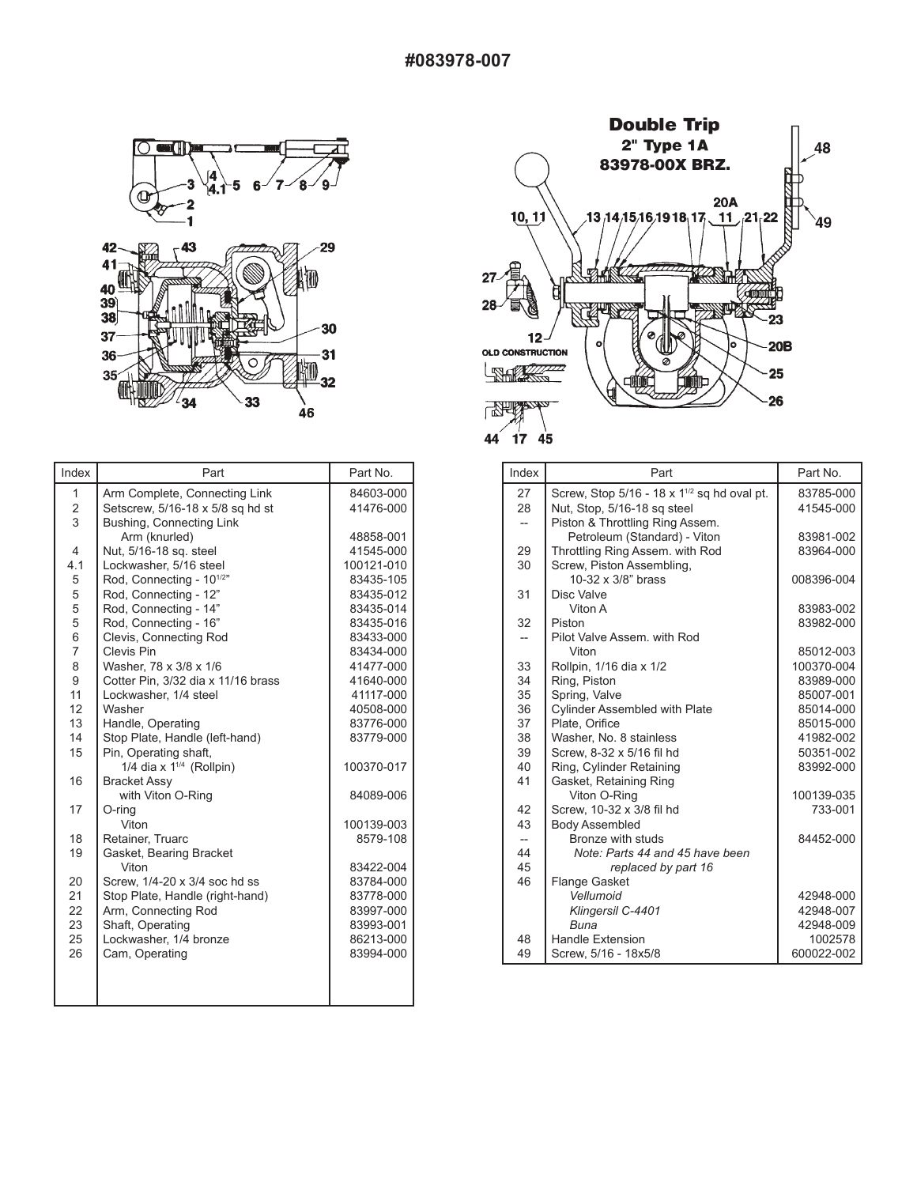

| Index | Part                                 | Part No.               |
|-------|--------------------------------------|------------------------|
| 1     | Arm Complete, Connecting Link        | 84603-000              |
| 2     | Setscrew, 5/16-18 x 5/8 sq hd st     | 41476-000              |
| 3     | Bushing, Connecting Link             |                        |
|       | Arm (knurled)                        | 48858-001              |
| 4     | Nut, 5/16-18 sq. steel               | 41545-000              |
| 4.1   | Lockwasher, 5/16 steel               | 100121-010             |
| 5     | Rod, Connecting - 10 <sup>1/2"</sup> | 83435-105              |
| 5     | Rod, Connecting - 12"                | 83435-012              |
| 5     | Rod, Connecting - 14"                | 83435-014              |
| 5     | Rod, Connecting - 16"                | 83435-016              |
| 6     | Clevis, Connecting Rod               | 83433-000              |
| 7     | Clevis Pin                           | 83434-000              |
| 8     | Washer, 78 x 3/8 x 1/6               | 41477-000              |
| 9     | Cotter Pin, 3/32 dia x 11/16 brass   | 41640-000              |
| 11    | Lockwasher, 1/4 steel                | 41117-000              |
| 12    | Washer                               | 40508-000              |
| 13    | Handle, Operating                    | 83776-000              |
| 14    | Stop Plate, Handle (left-hand)       | 83779-000              |
| 15    | Pin, Operating shaft,                |                        |
|       | 1/4 dia x $1^{1/4}$ (Rollpin)        | 100370-017             |
| 16    | <b>Bracket Assy</b>                  |                        |
|       | with Viton O-Ring                    | 84089-006              |
| 17    | O-ring                               |                        |
|       | Viton                                | 100139-003             |
| 18    | Retainer, Truarc                     | 8579-108               |
| 19    | Gasket, Bearing Bracket              |                        |
|       | Viton                                | 83422-004              |
| 20    | Screw, 1/4-20 x 3/4 soc hd ss        | 83784-000              |
| 21    | Stop Plate, Handle (right-hand)      | 83778-000              |
| 22    | Arm, Connecting Rod                  | 83997-000              |
| 23    | Shaft, Operating                     | 83993-001<br>86213-000 |
| 25    | Lockwasher, 1/4 bronze               |                        |
| 26    | Cam, Operating                       | 83994-000              |
|       |                                      |                        |
|       |                                      |                        |
|       |                                      |                        |



| Index                    | Part                                                    | Part No.   |
|--------------------------|---------------------------------------------------------|------------|
| 27                       | Screw, Stop 5/16 - 18 x 1 <sup>1/2</sup> sq hd oval pt. | 83785-000  |
| 28                       | Nut, Stop, 5/16-18 sq steel                             | 41545-000  |
| $--$                     | Piston & Throttling Ring Assem.                         |            |
|                          | Petroleum (Standard) - Viton                            | 83981-002  |
| 29                       | Throttling Ring Assem. with Rod                         | 83964-000  |
| 30                       | Screw, Piston Assembling,                               |            |
|                          | 10-32 x 3/8" brass                                      | 008396-004 |
| 31                       | Disc Valve                                              |            |
|                          | Viton A                                                 | 83983-002  |
| 32                       | Piston                                                  | 83982-000  |
| $-$                      | Pilot Valve Assem, with Rod                             |            |
|                          | Viton                                                   | 85012-003  |
| 33                       | Rollpin, 1/16 dia x 1/2                                 | 100370-004 |
| 34                       | Ring, Piston                                            | 83989-000  |
| 35                       | Spring, Valve                                           | 85007-001  |
| 36                       | <b>Cylinder Assembled with Plate</b>                    | 85014-000  |
| 37                       | Plate, Orifice                                          | 85015-000  |
| 38                       | Washer, No. 8 stainless                                 | 41982-002  |
| 39                       | Screw. 8-32 x 5/16 fil hd                               | 50351-002  |
| 40                       | Ring, Cylinder Retaining                                | 83992-000  |
| 41                       | Gasket, Retaining Ring                                  |            |
|                          | Viton O-Ring                                            | 100139-035 |
| 42                       | Screw, 10-32 x 3/8 fil hd                               | 733-001    |
| 43                       | <b>Body Assembled</b>                                   |            |
| $\overline{\phantom{a}}$ | Bronze with studs                                       | 84452-000  |
| 44                       | Note: Parts 44 and 45 have been                         |            |
| 45                       | replaced by part 16                                     |            |
| 46                       | <b>Flange Gasket</b>                                    |            |
|                          | Vellumoid                                               | 42948-000  |
|                          | Klingersil C-4401                                       | 42948-007  |
|                          | Buna                                                    | 42948-009  |
| 48                       | <b>Handle Extension</b>                                 | 1002578    |
| 49                       | Screw, 5/16 - 18x5/8                                    | 600022-002 |